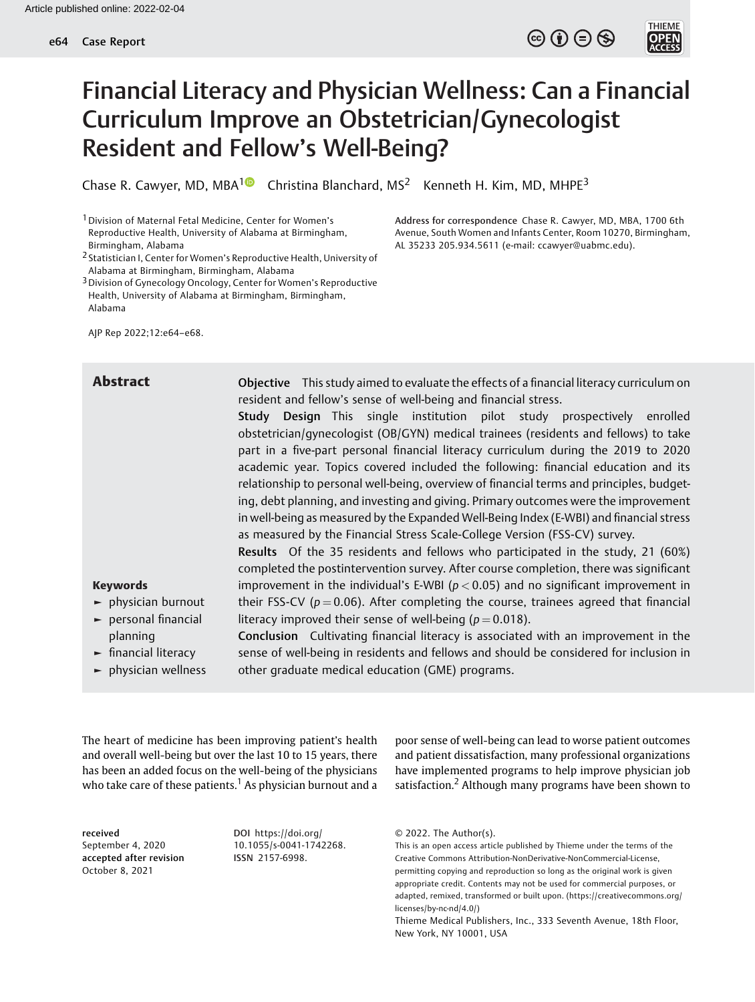

**THIEM** 

Address for correspondence Chase R. Cawyer, MD, MBA, 1700 6th Avenue, South Women and Infants Center, Room 10270, Birmingham,

AL 35233 205.934.5611 (e-mail: [ccawyer@uabmc.edu\)](mailto:ccawyer@uabmc.edu).

# Financial Literacy and Physician Wellness: Can a Financial Curriculum Improve an Obstetrician/Gynecologist Resident and Fellow's Well-Being?

Chase R. Cawyer, MD, MBA<sup>1</sup> Christina Blanchard, MS<sup>2</sup> Kenneth H. Kim, MD, MHPE<sup>3</sup>

1Division of Maternal Fetal Medicine, Center for Women's Reproductive Health, University of Alabama at Birmingham, Birmingham, Alabama

3Division of Gynecology Oncology, Center for Women's Reproductive Health, University of Alabama at Birmingham, Birmingham, Alabama

AJP Rep 2022;12:e64–e68.

Abstract Objective This study aimed to evaluate the effects of a financial literacy curriculum on resident and fellow's sense of well-being and financial stress.

> Study Design This single institution pilot study prospectively enrolled obstetrician/gynecologist (OB/GYN) medical trainees (residents and fellows) to take part in a five-part personal financial literacy curriculum during the 2019 to 2020 academic year. Topics covered included the following: financial education and its relationship to personal well-being, overview of financial terms and principles, budgeting, debt planning, and investing and giving. Primary outcomes were the improvement in well-being as measured by the Expanded Well-Being Index (E-WBI) and financial stress as measured by the Financial Stress Scale-College Version (FSS-CV) survey.

> Results Of the 35 residents and fellows who participated in the study, 21 (60%) completed the postintervention survey. After course completion, there was significant improvement in the individual's E-WBI ( $p < 0.05$ ) and no significant improvement in their FSS-CV ( $p = 0.06$ ). After completing the course, trainees agreed that financial

### Keywords

- ► physician burnout
- ► personal financial planning
- ► financial literacy
- ► physician wellness

Conclusion Cultivating financial literacy is associated with an improvement in the sense of well-being in residents and fellows and should be considered for inclusion in other graduate medical education (GME) programs.

literacy improved their sense of well-being ( $p = 0.018$ ).

The heart of medicine has been improving patient's health and overall well-being but over the last 10 to 15 years, there has been an added focus on the well-being of the physicians who take care of these patients.<sup>1</sup> As physician burnout and a

received September 4, 2020 accepted after revision October 8, 2021

DOI [https://doi.org/](https://doi.org/10.1055/s-0041-1742268) [10.1055/s-0041-1742268](https://doi.org/10.1055/s-0041-1742268). ISSN 2157-6998.

poor sense of well-being can lead to worse patient outcomes and patient dissatisfaction, many professional organizations have implemented programs to help improve physician job satisfaction.<sup>2</sup> Although many programs have been shown to

<sup>2</sup> Statistician I, Center for Women's Reproductive Health, University of Alabama at Birmingham, Birmingham, Alabama

<sup>© 2022.</sup> The Author(s).

This is an open access article published by Thieme under the terms of the Creative Commons Attribution-NonDerivative-NonCommercial-License, permitting copying and reproduction so long as the original work is given appropriate credit. Contents may not be used for commercial purposes, or adapted, remixed, transformed or built upon. (https://creativecommons.org/ licenses/by-nc-nd/4.0/)

Thieme Medical Publishers, Inc., 333 Seventh Avenue, 18th Floor, New York, NY 10001, USA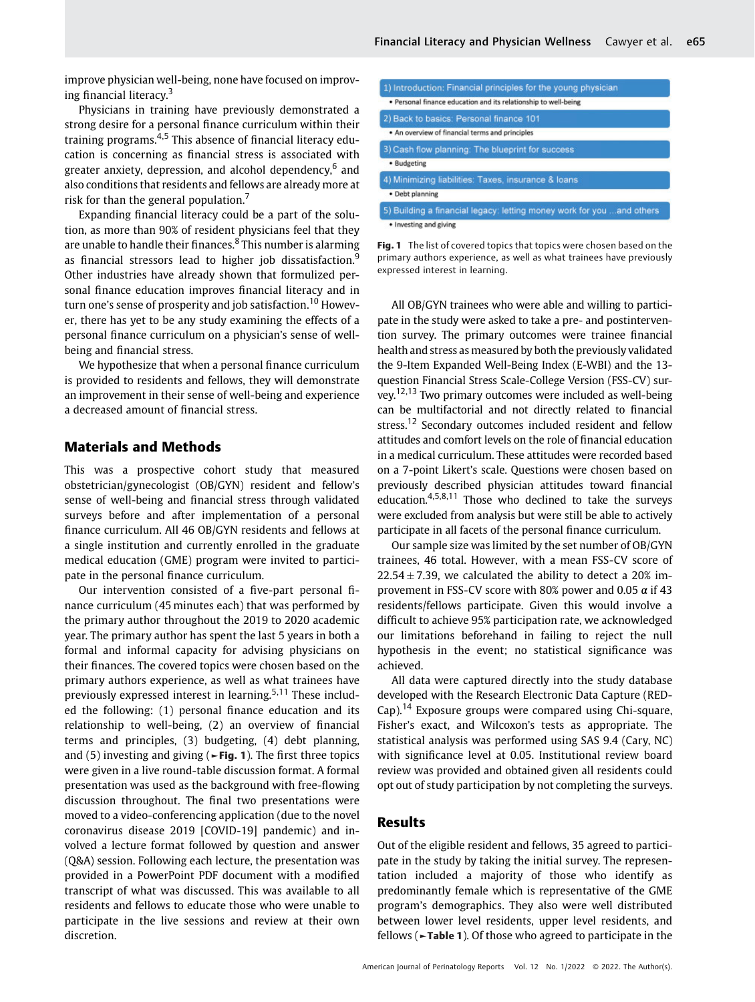improve physician well-being, none have focused on improving financial literacy.<sup>3</sup>

Physicians in training have previously demonstrated a strong desire for a personal finance curriculum within their training programs.<sup>4,5</sup> This absence of financial literacy education is concerning as financial stress is associated with greater anxiety, depression, and alcohol dependency,<sup>6</sup> and also conditions that residents and fellows are already more at risk for than the general population.

Expanding financial literacy could be a part of the solution, as more than 90% of resident physicians feel that they are unable to handle their finances.<sup>8</sup> This number is alarming as financial stressors lead to higher job dissatisfaction.<sup>9</sup> Other industries have already shown that formulized personal finance education improves financial literacy and in turn one's sense of prosperity and job satisfaction.<sup>10</sup> However, there has yet to be any study examining the effects of a personal finance curriculum on a physician's sense of wellbeing and financial stress.

We hypothesize that when a personal finance curriculum is provided to residents and fellows, they will demonstrate an improvement in their sense of well-being and experience a decreased amount of financial stress.

# Materials and Methods

This was a prospective cohort study that measured obstetrician/gynecologist (OB/GYN) resident and fellow's sense of well-being and financial stress through validated surveys before and after implementation of a personal finance curriculum. All 46 OB/GYN residents and fellows at a single institution and currently enrolled in the graduate medical education (GME) program were invited to participate in the personal finance curriculum.

Our intervention consisted of a five-part personal finance curriculum (45 minutes each) that was performed by the primary author throughout the 2019 to 2020 academic year. The primary author has spent the last 5 years in both a formal and informal capacity for advising physicians on their finances. The covered topics were chosen based on the primary authors experience, as well as what trainees have previously expressed interest in learning.<sup>5,11</sup> These included the following: (1) personal finance education and its relationship to well-being, (2) an overview of financial terms and principles, (3) budgeting, (4) debt planning, and (5) investing and giving ( $\blacktriangleright$  Fig. 1). The first three topics were given in a live round-table discussion format. A formal presentation was used as the background with free-flowing discussion throughout. The final two presentations were moved to a video-conferencing application (due to the novel coronavirus disease 2019 [COVID-19] pandemic) and involved a lecture format followed by question and answer (Q&A) session. Following each lecture, the presentation was provided in a PowerPoint PDF document with a modified transcript of what was discussed. This was available to all residents and fellows to educate those who were unable to participate in the live sessions and review at their own discretion.

| 1) Introduction: Financial principles for the young physician         |  |
|-----------------------------------------------------------------------|--|
| · Personal finance education and its relationship to well-being       |  |
| 2) Back to basics: Personal finance 101                               |  |
| . An overview of financial terms and principles                       |  |
| 3) Cash flow planning: The blueprint for success                      |  |
| · Budgeting                                                           |  |
| 4) Minimizing liabilities: Taxes, insurance & loans                   |  |
| · Debt planning                                                       |  |
| 5) Building a financial legacy: letting money work for you and others |  |
| . Investing and giving                                                |  |

Fig. 1 The list of covered topics that topics were chosen based on the primary authors experience, as well as what trainees have previously expressed interest in learning.

All OB/GYN trainees who were able and willing to participate in the study were asked to take a pre- and postintervention survey. The primary outcomes were trainee financial health and stress as measured by both the previously validated the 9-Item Expanded Well-Being Index (E-WBI) and the 13 question Financial Stress Scale-College Version (FSS-CV) survey.12,13 Two primary outcomes were included as well-being can be multifactorial and not directly related to financial stress.<sup>12</sup> Secondary outcomes included resident and fellow attitudes and comfort levels on the role of financial education in a medical curriculum. These attitudes were recorded based on a 7-point Likert's scale. Questions were chosen based on previously described physician attitudes toward financial education. $4,5,8,11$  Those who declined to take the surveys were excluded from analysis but were still be able to actively participate in all facets of the personal finance curriculum.

Our sample size was limited by the set number of OB/GYN trainees, 46 total. However, with a mean FSS-CV score of  $22.54 \pm 7.39$ , we calculated the ability to detect a 20% improvement in FSS-CV score with 80% power and 0.05  $\alpha$  if 43 residents/fellows participate. Given this would involve a difficult to achieve 95% participation rate, we acknowledged our limitations beforehand in failing to reject the null hypothesis in the event; no statistical significance was achieved.

All data were captured directly into the study database developed with the Research Electronic Data Capture (RED- $Cap$ <sup>14</sup> Exposure groups were compared using Chi-square, Fisher's exact, and Wilcoxon's tests as appropriate. The statistical analysis was performed using SAS 9.4 (Cary, NC) with significance level at 0.05. Institutional review board review was provided and obtained given all residents could opt out of study participation by not completing the surveys.

#### Results

Out of the eligible resident and fellows, 35 agreed to participate in the study by taking the initial survey. The representation included a majority of those who identify as predominantly female which is representative of the GME program's demographics. They also were well distributed between lower level residents, upper level residents, and fellows (►Table 1). Of those who agreed to participate in the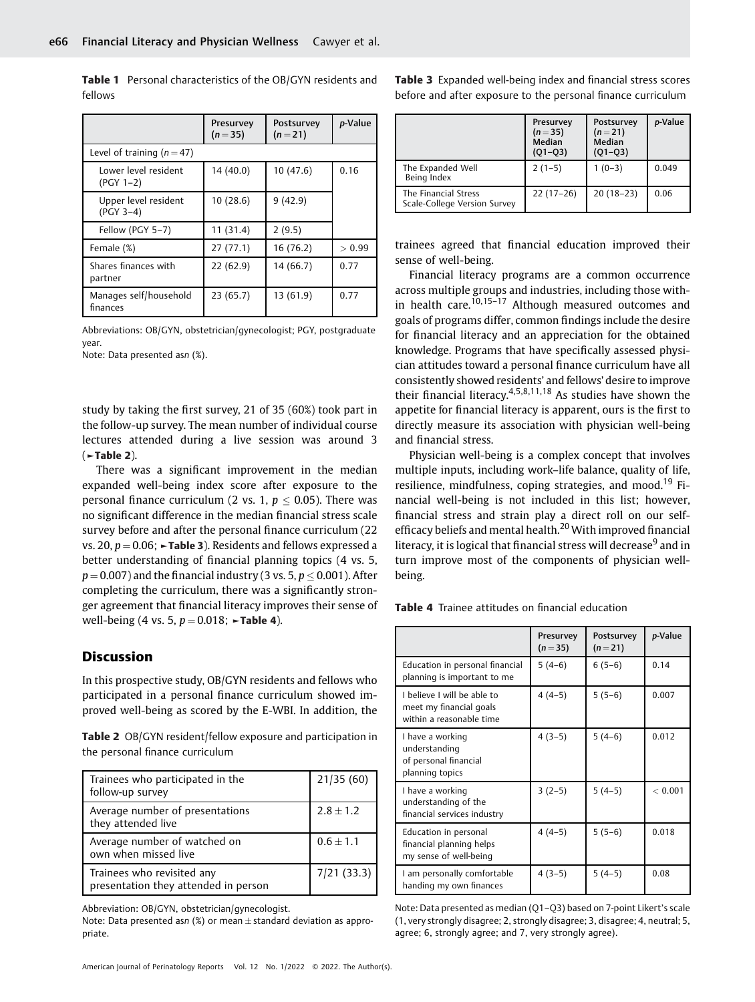Presurvey  $(n = 35)$ Postsurvey  $(n = 21)$ p-Value Level of training  $(n = 47)$ Lower level resident (PGY 1–2) 14 (40.0) 10 (47.6) 0.16 Upper level resident (PGY 3–4)  $10(28.6)$  9 (42.9) Fellow (PGY 5–7) 11 (31.4) 2 (9.5) Female  $(\%)$  27 (77.1) 16 (76.2)  $>0.99$ Shares finances with partner 22 (62.9) 14 (66.7) 0.77 Manages self/household finances 23 (65.7) 13 (61.9) 0.77

Table 1 Personal characteristics of the OB/GYN residents and fellows

Abbreviations: OB/GYN, obstetrician/gynecologist; PGY, postgraduate year.

Note: Data presented asn (%).

study by taking the first survey, 21 of 35 (60%) took part in the follow-up survey. The mean number of individual course lectures attended during a live session was around 3 (►Table 2).

There was a significant improvement in the median expanded well-being index score after exposure to the personal finance curriculum (2 vs. 1,  $p \leq 0.05$ ). There was no significant difference in the median financial stress scale survey before and after the personal finance curriculum (22 vs. 20,  $p = 0.06$ ;  $\blacktriangleright$ Table 3). Residents and fellows expressed a better understanding of financial planning topics (4 vs. 5,  $p = 0.007$ ) and the financial industry (3 vs. 5,  $p \le 0.001$ ). After completing the curriculum, there was a significantly stronger agreement that financial literacy improves their sense of well-being (4 vs. 5,  $p = 0.018$ ; ►**Table 4**).

### Discussion

In this prospective study, OB/GYN residents and fellows who participated in a personal finance curriculum showed improved well-being as scored by the E-WBI. In addition, the

Table 2 OB/GYN resident/fellow exposure and participation in the personal finance curriculum

| Trainees who participated in the<br>follow-up survey               | 21/35(60)     |
|--------------------------------------------------------------------|---------------|
| Average number of presentations<br>they attended live              | $2.8 \pm 1.2$ |
| Average number of watched on<br>own when missed live               | $0.6 \pm 1.1$ |
| Trainees who revisited any<br>presentation they attended in person | 7/21(33.3)    |

Abbreviation: OB/GYN, obstetrician/gynecologist.

Note: Data presented as $n$  (%) or mean  $\pm$  standard deviation as appropriate.

Table 3 Expanded well-being index and financial stress scores before and after exposure to the personal finance curriculum

|                                                      | Presurvey<br>$(n=35)$<br>Median<br>$(Q1 - Q3)$ | Postsurvey<br>$(n=21)$<br>Median<br>$(Q1 - Q3)$ | p-Value |
|------------------------------------------------------|------------------------------------------------|-------------------------------------------------|---------|
| The Expanded Well<br>Being Index                     | $2(1-5)$                                       | $1(0-3)$                                        | 0.049   |
| The Financial Stress<br>Scale-College Version Survey | $22(17-26)$                                    | $20(18-23)$                                     | 0.06    |

trainees agreed that financial education improved their sense of well-being.

Financial literacy programs are a common occurrence across multiple groups and industries, including those within health care.<sup>10,15–17</sup> Although measured outcomes and goals of programs differ, common findings include the desire for financial literacy and an appreciation for the obtained knowledge. Programs that have specifically assessed physician attitudes toward a personal finance curriculum have all consistently showed residents' and fellows' desire to improve their financial literacy.4,5,8,11,18 As studies have shown the appetite for financial literacy is apparent, ours is the first to directly measure its association with physician well-being and financial stress.

Physician well-being is a complex concept that involves multiple inputs, including work–life balance, quality of life, resilience, mindfulness, coping strategies, and mood.<sup>19</sup> Financial well-being is not included in this list; however, financial stress and strain play a direct roll on our selfefficacy beliefs and mental health.<sup>20</sup> With improved financial literacy, it is logical that financial stress will decrease<sup>9</sup> and in turn improve most of the components of physician wellbeing.

Table 4 Trainee attitudes on financial education

|                                                                                    | Presurvey<br>$(n=35)$ | Postsurvey<br>$(n=21)$ | p-Value |
|------------------------------------------------------------------------------------|-----------------------|------------------------|---------|
| Education in personal financial<br>planning is important to me                     | $5(4-6)$              | $6(5-6)$               | 0.14    |
| I believe I will be able to<br>meet my financial goals<br>within a reasonable time | $4(4-5)$              | $5(5-6)$               | 0.007   |
| I have a working<br>understanding<br>of personal financial<br>planning topics      | $4(3-5)$              | $5(4-6)$               | 0.012   |
| I have a working<br>understanding of the<br>financial services industry            | $3(2-5)$              | $5(4-5)$               | < 0.001 |
| Education in personal<br>financial planning helps<br>my sense of well-being        | $4(4-5)$              | $5(5-6)$               | 0.018   |
| I am personally comfortable<br>handing my own finances                             | $4(3-5)$              | $5(4-5)$               | 0.08    |

Note: Data presented as median (Q1–Q3) based on 7-point Likert's scale (1, very strongly disagree; 2, strongly disagree; 3, disagree; 4, neutral; 5, agree; 6, strongly agree; and 7, very strongly agree).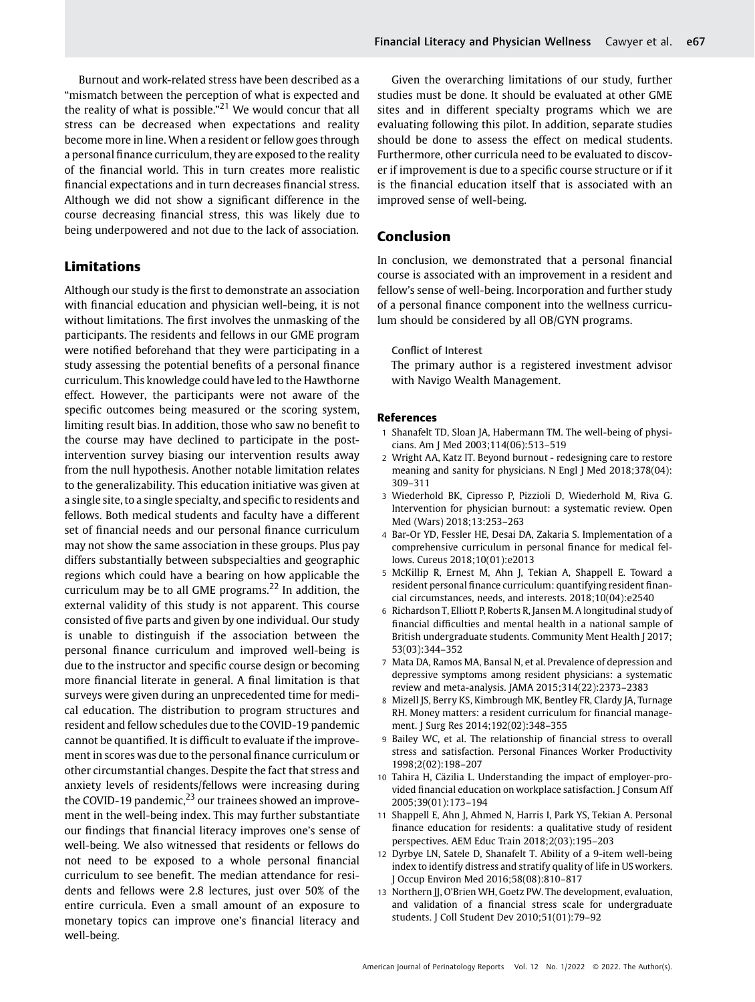Burnout and work-related stress have been described as a "mismatch between the perception of what is expected and the reality of what is possible."<sup>21</sup> We would concur that all stress can be decreased when expectations and reality become more in line. When a resident or fellow goes through a personal finance curriculum, they are exposed to the reality of the financial world. This in turn creates more realistic financial expectations and in turn decreases financial stress. Although we did not show a significant difference in the course decreasing financial stress, this was likely due to being underpowered and not due to the lack of association.

## Limitations

Although our study is the first to demonstrate an association with financial education and physician well-being, it is not without limitations. The first involves the unmasking of the participants. The residents and fellows in our GME program were notified beforehand that they were participating in a study assessing the potential benefits of a personal finance curriculum. This knowledge could have led to the Hawthorne effect. However, the participants were not aware of the specific outcomes being measured or the scoring system, limiting result bias. In addition, those who saw no benefit to the course may have declined to participate in the postintervention survey biasing our intervention results away from the null hypothesis. Another notable limitation relates to the generalizability. This education initiative was given at a single site, to a single specialty, and specific to residents and fellows. Both medical students and faculty have a different set of financial needs and our personal finance curriculum may not show the same association in these groups. Plus pay differs substantially between subspecialties and geographic regions which could have a bearing on how applicable the curriculum may be to all GME programs.<sup>22</sup> In addition, the external validity of this study is not apparent. This course consisted of five parts and given by one individual. Our study is unable to distinguish if the association between the personal finance curriculum and improved well-being is due to the instructor and specific course design or becoming more financial literate in general. A final limitation is that surveys were given during an unprecedented time for medical education. The distribution to program structures and resident and fellow schedules due to the COVID-19 pandemic cannot be quantified. It is difficult to evaluate if the improvement in scores was due to the personal finance curriculum or other circumstantial changes. Despite the fact that stress and anxiety levels of residents/fellows were increasing during the COVID-19 pandemic, $^{23}$  our trainees showed an improvement in the well-being index. This may further substantiate our findings that financial literacy improves one's sense of well-being. We also witnessed that residents or fellows do not need to be exposed to a whole personal financial curriculum to see benefit. The median attendance for residents and fellows were 2.8 lectures, just over 50% of the entire curricula. Even a small amount of an exposure to monetary topics can improve one's financial literacy and well-being.

Given the overarching limitations of our study, further studies must be done. It should be evaluated at other GME sites and in different specialty programs which we are evaluating following this pilot. In addition, separate studies should be done to assess the effect on medical students. Furthermore, other curricula need to be evaluated to discover if improvement is due to a specific course structure or if it is the financial education itself that is associated with an improved sense of well-being.

## Conclusion

In conclusion, we demonstrated that a personal financial course is associated with an improvement in a resident and fellow's sense of well-being. Incorporation and further study of a personal finance component into the wellness curriculum should be considered by all OB/GYN programs.

#### Conflict of Interest

The primary author is a registered investment advisor with Navigo Wealth Management.

#### References

- 1 Shanafelt TD, Sloan JA, Habermann TM. The well-being of physicians. Am J Med 2003;114(06):513–519
- 2 Wright AA, Katz IT. Beyond burnout redesigning care to restore meaning and sanity for physicians. N Engl J Med 2018;378(04): 309–311
- 3 Wiederhold BK, Cipresso P, Pizzioli D, Wiederhold M, Riva G. Intervention for physician burnout: a systematic review. Open Med (Wars) 2018;13:253–263
- 4 Bar-Or YD, Fessler HE, Desai DA, Zakaria S. Implementation of a comprehensive curriculum in personal finance for medical fellows. Cureus 2018;10(01):e2013
- 5 McKillip R, Ernest M, Ahn J, Tekian A, Shappell E. Toward a resident personal finance curriculum: quantifying resident financial circumstances, needs, and interests. 2018;10(04):e2540
- 6 Richardson T, Elliott P, Roberts R, Jansen M. A longitudinal study of financial difficulties and mental health in a national sample of British undergraduate students. Community Ment Health J 2017; 53(03):344–352
- 7 Mata DA, Ramos MA, Bansal N, et al. Prevalence of depression and depressive symptoms among resident physicians: a systematic review and meta-analysis. JAMA 2015;314(22):2373–2383
- 8 Mizell JS, Berry KS, Kimbrough MK, Bentley FR, Clardy JA, Turnage RH. Money matters: a resident curriculum for financial management. J Surg Res 2014;192(02):348–355
- 9 Bailey WC, et al. The relationship of financial stress to overall stress and satisfaction. Personal Finances Worker Productivity 1998;2(02):198–207
- 10 Tahira H, Cäzilia L. Understanding the impact of employer-provided financial education on workplace satisfaction. J Consum Aff 2005;39(01):173–194
- 11 Shappell E, Ahn J, Ahmed N, Harris I, Park YS, Tekian A. Personal finance education for residents: a qualitative study of resident perspectives. AEM Educ Train 2018;2(03):195–203
- 12 Dyrbye LN, Satele D, Shanafelt T. Ability of a 9-item well-being index to identify distress and stratify quality of life in US workers. J Occup Environ Med 2016;58(08):810–817
- 13 Northern JJ, O'Brien WH, Goetz PW. The development, evaluation, and validation of a financial stress scale for undergraduate students. J Coll Student Dev 2010;51(01):79–92